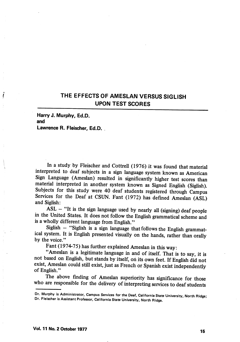## THE EFFECTS OF AMESLAN VERSUS SIGLISH UPON TEST SCORES

Harty J. Murphy, Ed.D. and Lawrence R. Fleischer, Ed.D. .

In a study by Fleischer and Cottrell (1976) it was found that material interpreted to deaf subjects in a sign language system known as American Sign Lanpage (Ameslan) resulted in significantly higher test scores than material interpreted in another system known as Signed English (Siglish). Subjects for this study were 40 deaf students registered through Campus Services for the Deaf at CSUN. Fant (1972) has defined Ameslan (ASL) and Siglish:

 $ASL - "It is the sign language used by nearly all (signing)  $\text{deaf people}$$ in the United States. It does not follow the English grammatical scheme and is a wholly different language from English."

Siglish - "Siglish is a sign language that follows the English grammatical system. It is English presented visually on the hands, rather than orally by the voice."

Fant (1974-75) has further explained Ameslan in this way:

"Ameslan is a legitimate language in and of itself. That is to say, it is not based on English, but stands by itself, on its own feet. If English did not exist, Ameslan could still exist, just as French or Spanish exist independently of English."

The above finding of Ameslan superiority has significance for those who are responsible for the delivery of interpreting services to deaf students

Dr. Murphy is Administrator, Campus Services for the Deaf, California State University, North Ridge; Dr. Fleischer is Assistant Professor, California State University, North Ridge.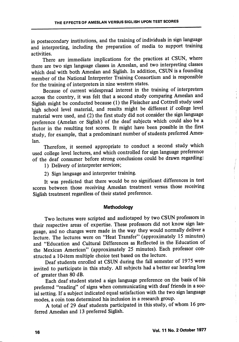in postsecondary institutions, and the training of individuals in sign language and interpreting, including the preparation of media to support training activities.

There are immediate implications for the practices at CSUN, where there are two sign language classes in Ameslan, and two interpreting classes which deal with both Ameslan and Siglish. In addition, CSUN is a founding member of the National Interpreter Training Consortium and is responsible for the training of interpreters in nine western states.

Because of current widespread interest in the training of interpreters across the country, it was felt that a second study comparing Ameslan and Siglish might be conducted because (1) the Fleischer and Cottrell study used high school level material, and results might be different if college level material were used, and (2) the first study did not consider the sign language preference (Amelan or Siglish) of the deaf subjects which could also be a factor in the resulting test scores. It might have been possible in the first study, for example, that a predominant number of students preferred Ames lan.

Therefore, it seemed appropriate to conduct a second study which used college level lectures, and which controlled for sign language preference of the deaf consumer before strong conclusions could be drawn regarding:

1) Delivery of interpreter services;

2) Sign language and interpreter training.

It was predicted that there would be no significant differences in test scores between those receiving Ameslan treatment versus those receiving Siglish treatment regardless of their stated preference.

## Methodology

Two lectures were scripted and audiotaped by two CSUN professors in their respective areas of expertise. These professors did not know sign lan guage, and no changes were made in the way they would normally deliver a lecture. The lectures were on "Heat Transfer" (approximately 15 minutes) and "Education and Cultural Differences as Reflected in the Education of the Mexican American" (approximately 25 minutes). Each professor con structed a 10-item multiple choice test based on the lecture.

Deaf students enrolled at CSUN during the fall semester of 1975 were invited to participate in this study. All subjects had a better ear hearing loss of greater than 80 dB.

Each deaf student stated a sign language preference on the basis of his preferred "reading" of signs when communicating with deaf friends in a soc ial setting. If a subject indicated equal satisfaction with the two sign language modes, a coin toss determined his inclusion in a research group.

A total of 29 deaf students participated in this study, of whom 16 pre ferred Ameslan and 13 preferred Siglish.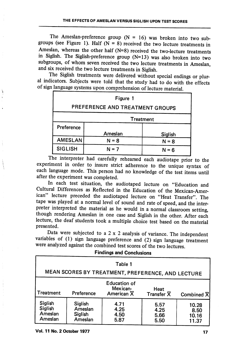The Ameslan-preference group  $(N = 16)$  was broken into two subgroups (see Figure 1). Half ( $N = 8$ ) received the two lecture treatments in Ameslan, whereas the other half (N=8) received the two-lecture treatments in Siglish. The Siglish-preference group (N=13) was also broken into two subgroups, of whom seven received the two lecture treatments in Ameslan, and six received the two lecture treatments in Siglish.

The Siglish treatments were delivered without special endings or plur al indicators. Subjects were told that the study had to do with the effects

| Figure 1                        |         |         |  |  |  |  |
|---------------------------------|---------|---------|--|--|--|--|
| PREFERENCE AND TREATMENT GROUPS |         |         |  |  |  |  |
| <b>Treatment</b>                |         |         |  |  |  |  |
| Preference                      |         |         |  |  |  |  |
|                                 | Ameslan | Siglish |  |  |  |  |
| <b>AMESLAN</b>                  | $N = 8$ | $N = 8$ |  |  |  |  |
| <b>SIGLISH</b>                  | $N = 7$ | $N = 6$ |  |  |  |  |

The interpreter had carefully rehearsed each audiotape prior to the experiment in order to insure strict adherence to the unique syntax of each language mode. This person had no knowledge of the test items until after the experiment was completed.

In each test situation, the audiotaped lecture on "Education and Cultural Differences as Reflected in the Education of the Mexican-Amer ican" lecture preceded the audiotaped lecture on "Heat Transfer". The tape was played at a normal level of sound and rate of speed, and the inter preter interpreted the material as he would in a normal classroom setting, though rendering Ameslan in one case and Siglish in the other. After each lecture, the deaf students took a multiple choice test based on the material presented.

Data were subjected to a  $2 \times 2$  analysis of variance. The independent variables of (1) sign language preference and (2) sign language treatment were analyzed against the combined test scores of the two lectures.

## Findings and Conclusions

| Table 1<br>MEAN SCORES BY TREATMENT, PREFERENCE, AND LECTURE |                                          |                                                            |                                 |                                 |  |  |  |  |
|--------------------------------------------------------------|------------------------------------------|------------------------------------------------------------|---------------------------------|---------------------------------|--|--|--|--|
| <b>Treatment</b>                                             | Preference                               | <b>Education of</b><br>Mexican-<br>American $\overline{X}$ | Heat<br>Transfer $\overline{X}$ | Combined 又                      |  |  |  |  |
| Siglish<br>Siglish<br>Ameslan<br>Ameslan                     | Siglish<br>Ameslan<br>Siglish<br>Ameslan | 4.71<br>4.25<br>4.50<br>5.87                               | 5.57<br>4.25<br>5.66<br>5.50    | 10.28<br>8.50<br>10.16<br>11.37 |  |  |  |  |